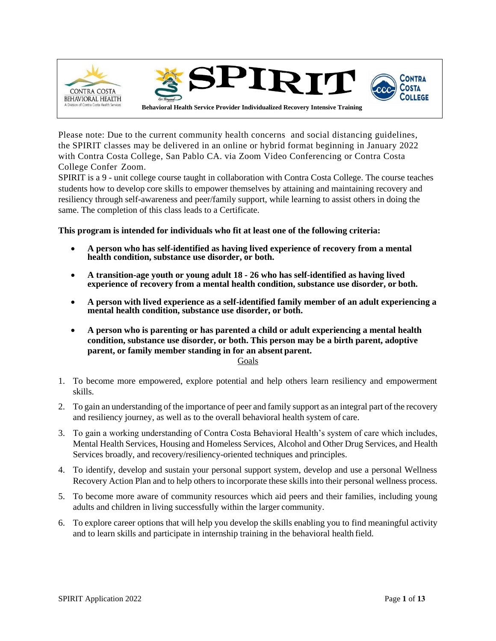

Please note: Due to the current community health concerns and social distancing guidelines, the SPIRIT classes may be delivered in an online or hybrid format beginning in January 2022 with Contra Costa College, San Pablo CA. via Zoom Video Conferencing or Contra Costa College Confer Zoom.

SPIRIT is a 9 - unit college course taught in collaboration with Contra Costa College. The course teaches students how to develop core skills to empower themselves by attaining and maintaining recovery and resiliency through self-awareness and peer/family support, while learning to assist others in doing the same. The completion of this class leads to a Certificate.

**This program is intended for individuals who fit at least one of the following criteria:**

- **A person who has self-identified as having lived experience of recovery from a mental health condition, substance use disorder, or both.**
- **A transition-age youth or young adult 18 - 26 who has self-identified as having lived experience of recovery from a mental health condition, substance use disorder, or both.**
- **A person with lived experience as a self-identified family member of an adult experiencing a mental health condition, substance use disorder, or both.**
- **A person who is parenting or has parented a child or adult experiencing a mental health condition, substance use disorder, or both. This person may be a birth parent, adoptive parent, or family member standing in for an absent parent.**

Goals

- 1. To become more empowered, explore potential and help others learn resiliency and empowerment skills.
- 2. To gain an understanding of the importance of peer and family support as an integral part of the recovery and resiliency journey, as well as to the overall behavioral health system of care.
- 3. To gain a working understanding of Contra Costa Behavioral Health's system of care which includes, Mental Health Services, Housing and Homeless Services, Alcohol and Other Drug Services, and Health Services broadly, and recovery/resiliency-oriented techniques and principles.
- 4. To identify, develop and sustain your personal support system, develop and use a personal Wellness Recovery Action Plan and to help others to incorporate these skills into their personal wellness process.
- 5. To become more aware of community resources which aid peers and their families, including young adults and children in living successfully within the larger community.
- 6. To explore career options that will help you develop the skills enabling you to find meaningful activity and to learn skills and participate in internship training in the behavioral health field.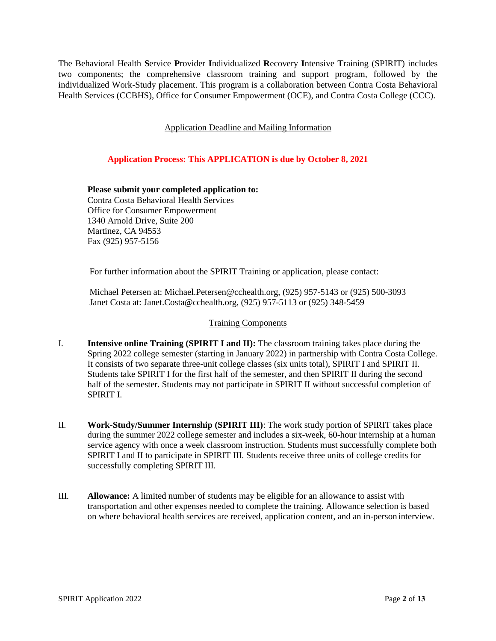The Behavioral Health **S**ervice **P**rovider **I**ndividualized **R**ecovery **I**ntensive **T**raining (SPIRIT) includes two components; the comprehensive classroom training and support program, followed by the individualized Work-Study placement. This program is a collaboration between Contra Costa Behavioral Health Services (CCBHS), Office for Consumer Empowerment (OCE), and Contra Costa College (CCC).

Application Deadline and Mailing Information

## **Application Process: This APPLICATION is due by October 8, 2021**

**Please submit your completed application to:** Contra Costa Behavioral Health Services Office for Consumer Empowerment 1340 Arnold Drive, Suite 200 Martinez, CA 94553 Fax (925) 957-5156

For further information about the SPIRIT Training or application, please contact:

Michael Petersen at: [Michael.Petersen@cchealth.org, \(](mailto:Michael.Petersen@cchealth.org)925) 957-5143 or (925) 500-3093 Janet Costa at: [Janet.Costa@cchealth.org, \(](mailto:Janet.Costa@cchealth.org)925) 957-5113 or (925) 348-5459

## Training Components

- I. **Intensive online Training (SPIRIT I and II):** The classroom training takes place during the Spring 2022 college semester (starting in January 2022) in partnership with Contra Costa College. It consists of two separate three-unit college classes (six units total), SPIRIT I and SPIRIT II. Students take SPIRIT I for the first half of the semester, and then SPIRIT II during the second half of the semester. Students may not participate in SPIRIT II without successful completion of SPIRIT I.
- II. **Work-Study/Summer Internship (SPIRIT III)**: The work study portion of SPIRIT takes place during the summer 2022 college semester and includes a six-week, 60-hour internship at a human service agency with once a week classroom instruction. Students must successfully complete both SPIRIT I and II to participate in SPIRIT III. Students receive three units of college credits for successfully completing SPIRIT III.
- III. **Allowance:** A limited number of students may be eligible for an allowance to assist with transportation and other expenses needed to complete the training. Allowance selection is based on where behavioral health services are received, application content, and an in-person interview.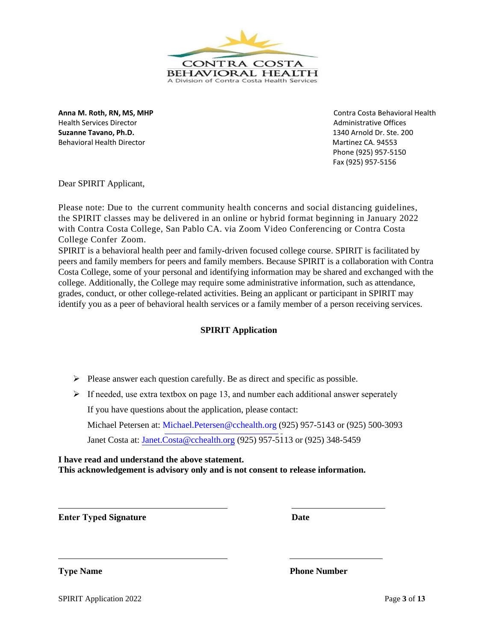

Health Services Director **Administrative Offices** Administrative Offices **Suzanne Tavano, Ph.D.** 1340 Arnold Dr. Ste. 200 Behavioral Health Director **Martinez CA. 94553** Martinez CA. 94553

**Anna M. Roth, RN, MS, MHP** Contra Costa Behavioral Health Phone (925) 957-5150 Fax (925) 957-5156

Dear SPIRIT Applicant,

Please note: Due to the current community health concerns and social distancing guidelines, the SPIRIT classes may be delivered in an online or hybrid format beginning in January 2022 with Contra Costa College, San Pablo CA. via Zoom Video Conferencing or Contra Costa College Confer Zoom.

SPIRIT is a behavioral health peer and family-driven focused college course. SPIRIT is facilitated by peers and family members for peers and family members. Because SPIRIT is a collaboration with Contra Costa College, some of your personal and identifying information may be shared and exchanged with the college. Additionally, the College may require some administrative information, such as attendance, grades, conduct, or other college-related activities. Being an applicant or participant in SPIRIT may identify you as a peer of behavioral health services or a family member of a person receiving services.

## **SPIRIT Application**

➢ Please answer each question carefully. Be as direct and specific as possible.

 $\triangleright$  If needed, use extra textbox on page 13, and number each additional answer seperately If you have questions about the application, please contact:

Michael Petersen at: [Michael.Petersen@cchealth.org](mailto:Michael.Petersen@cchealth.org) (925) 957-5143 or (925) 500-3093 Janet Costa at: [Janet.Costa@cchealth.org \(](mailto:Janet.Costa@cchealth.org)925) 957-5113 or (925) 348-5459

**I have read and understand the above statement. This acknowledgement is advisory only and is not consent to release information.**

**Enter Typed Signature Date**

**Type Name** Phone Number

SPIRIT Application 2022 Page 3 of 13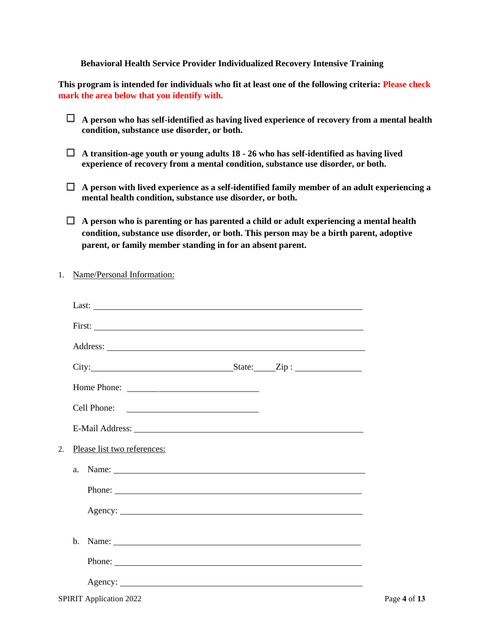## **Behavioral Health Service Provider Individualized Recovery Intensive Training**

**This program is intended for individuals who fit at least one of the following criteria: Please check mark the area below that you identify with.**

- **A person who has self-identified as having lived experience of recovery from a mental health condition, substance use disorder, or both.**
- **A transition-age youth or young adults 18 - 26 who has self-identified as having lived experience of recovery from a mental condition, substance use disorder, or both.**
- **A person with lived experience as a self-identified family member of an adult experiencing a mental health condition, substance use disorder, or both.**
- **A person who is parenting or has parented a child or adult experiencing a mental health condition, substance use disorder, or both. This person may be a birth parent, adoptive parent, or family member standing in for an absent parent.**
- 1. Name/Personal Information:

|         | City: $\qquad \qquad$ State: $\qquad \qquad$ Zip : |              |
|---------|----------------------------------------------------|--------------|
|         |                                                    |              |
|         | Cell Phone:                                        |              |
|         |                                                    |              |
| 2.      | Please list two references:                        |              |
| a.      | Name:                                              |              |
|         | Phone:                                             |              |
|         | Agency:                                            |              |
| $h_{-}$ | Name:                                              |              |
|         |                                                    |              |
|         |                                                    |              |
|         | <b>SPIRIT Application 2022</b>                     | Page 4 of 13 |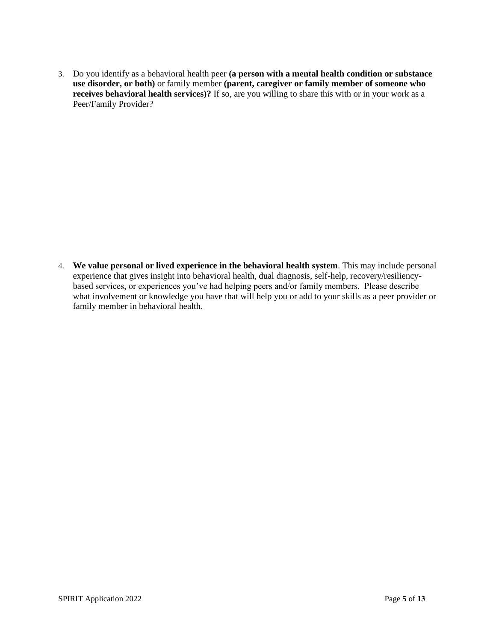3. Do you identify as a behavioral health peer **(a person with a mental health condition or substance use disorder, or both)** or family member **(parent, caregiver or family member of someone who receives behavioral health services)?** If so, are you willing to share this with or in your work as a Peer/Family Provider?

4. **We value personal or lived experience in the behavioral health system**. This may include personal experience that gives insight into behavioral health, dual diagnosis, self-help, recovery/resiliencybased services, or experiences you've had helping peers and/or family members. Please describe what involvement or knowledge you have that will help you or add to your skills as a peer provider or family member in behavioral health.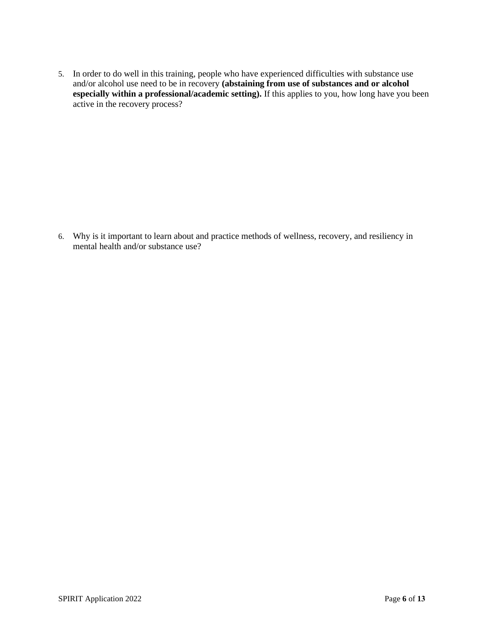5. In order to do well in this training, people who have experienced difficulties with substance use and/or alcohol use need to be in recovery **(abstaining from use of substances and or alcohol especially within a professional/academic setting).** If this applies to you, how long have you been active in the recovery process?

6. Why is it important to learn about and practice methods of wellness, recovery, and resiliency in mental health and/or substance use?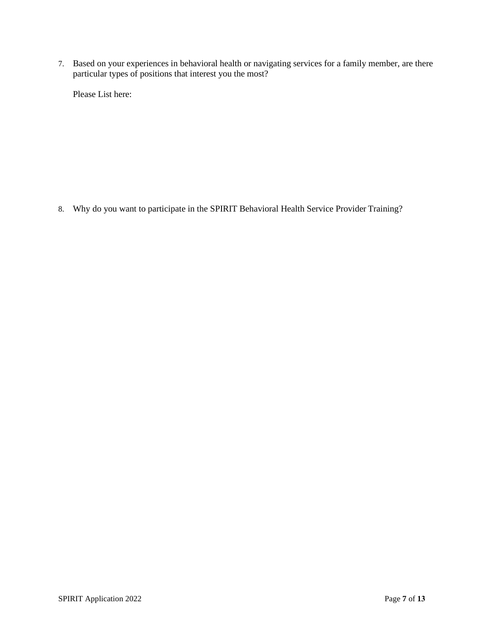7. Based on your experiences in behavioral health or navigating services for a family member, are there particular types of positions that interest you the most?

Please List here:

8. Why do you want to participate in the SPIRIT Behavioral Health Service Provider Training?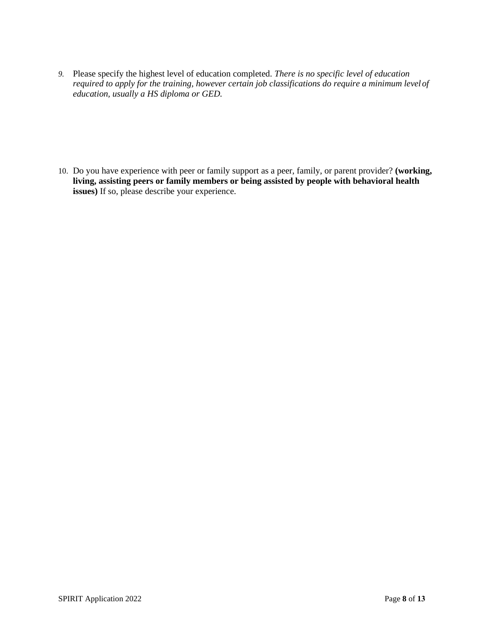*9.* Please specify the highest level of education completed. *There is no specific level of education required to apply for the training, however certain job classifications do require a minimum levelof education, usually a HS diploma or GED.*

10. Do you have experience with peer or family support as a peer, family, or parent provider? **(working, living, assisting peers or family members or being assisted by people with behavioral health issues)** If so, please describe your experience.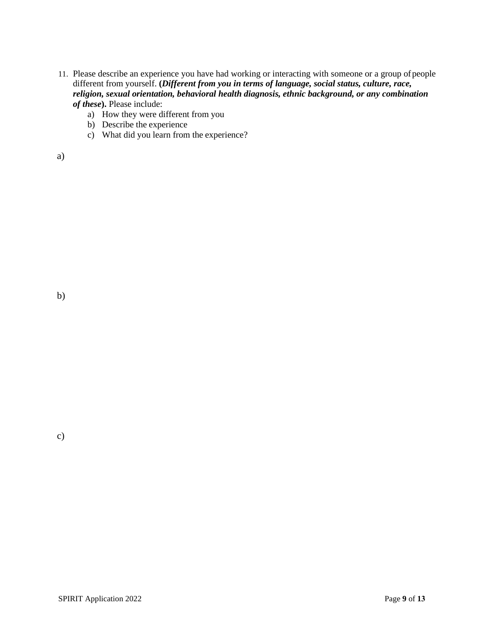- 11. Please describe an experience you have had working or interacting with someone or a group ofpeople different from yourself. **(***Different from you in terms of language, social status, culture, race, religion, sexual orientation, behavioral health diagnosis, ethnic background, or any combination of these***).** Please include:
	- a) How they were different from you
	- b) Describe the experience
	- c) What did you learn from the experience?

| I                  |                  |
|--------------------|------------------|
| ٦<br>. .<br>٠<br>٠ | I<br>I<br>ł<br>I |

b)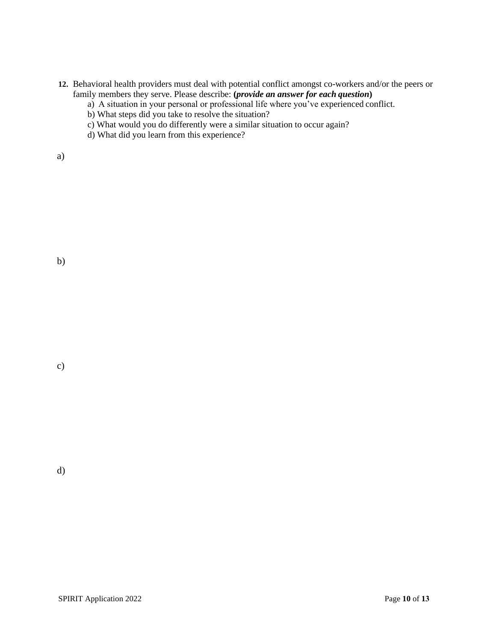- **12.** Behavioral health providers must deal with potential conflict amongst co-workers and/or the peers or family members they serve. Please describe: **(***provide an answer for each question***)**
	- a) A situation in your personal or professional life where you've experienced conflict.
	- b) What steps did you take to resolve the situation?
	- c) What would you do differently were a similar situation to occur again?
	- d) What did you learn from this experience?

a)

c)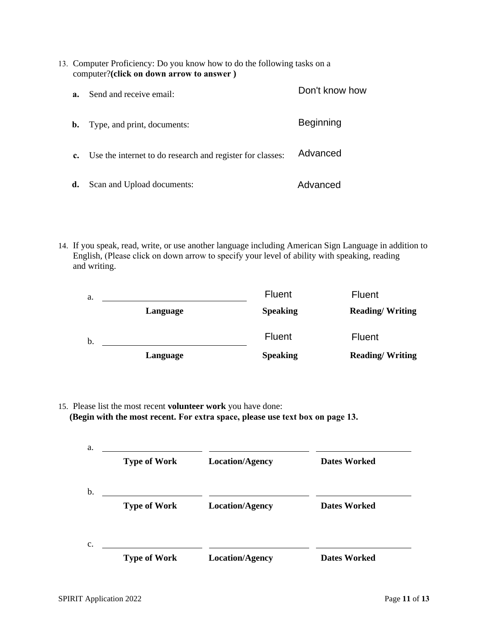| 13. Computer Proficiency: Do you know how to do the following tasks on a |                                          |                |
|--------------------------------------------------------------------------|------------------------------------------|----------------|
|                                                                          | computer?(click on down arrow to answer) |                |
|                                                                          | Send and receive email:                  | Don't know how |

| <b>b.</b>   | Type, and print, documents:                               | <b>Beginning</b> |
|-------------|-----------------------------------------------------------|------------------|
| $c_{\cdot}$ | Use the internet to do research and register for classes: | Advanced         |
| d.          | Scan and Upload documents:                                | Advanced         |

14. If you speak, read, write, or use another language including American Sign Language in addition to English, (Please click on down arrow to specify your level of ability with speaking, reading and writing.

**Beginning** 

| a. |          | <b>Fluent</b>   | <b>Fluent</b>          |
|----|----------|-----------------|------------------------|
|    | Language | <b>Speaking</b> | <b>Reading/Writing</b> |
| b. |          | <b>Fluent</b>   | <b>Fluent</b>          |
|    | Language | <b>Speaking</b> | <b>Reading/Writing</b> |

15. Please list the most recent **volunteer work** you have done: **(Begin with the most recent. For extra space, please use text box on page 13.**

| a.             | <b>Type of Work</b> | <b>Location/Agency</b> | <b>Dates Worked</b> |
|----------------|---------------------|------------------------|---------------------|
| b.             | <b>Type of Work</b> | <b>Location/Agency</b> | <b>Dates Worked</b> |
| C <sub>1</sub> | <b>Type of Work</b> | <b>Location/Agency</b> | <b>Dates Worked</b> |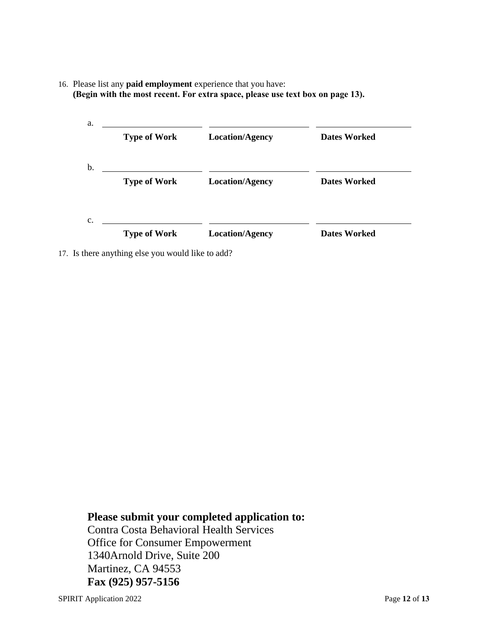16. Please list any **paid employment** experience that you have: **(Begin with the most recent. For extra space, please use text box on page 13).**

| a. |                     |                        |                     |
|----|---------------------|------------------------|---------------------|
|    | <b>Type of Work</b> | <b>Location/Agency</b> | <b>Dates Worked</b> |
| b. |                     |                        |                     |
|    | <b>Type of Work</b> | <b>Location/Agency</b> | <b>Dates Worked</b> |
| C. |                     |                        |                     |
|    | <b>Type of Work</b> | <b>Location/Agency</b> | <b>Dates Worked</b> |

17. Is there anything else you would like to add?

**Please submit your completed application to:** 

Contra Costa Behavioral Health Services Office for Consumer Empowerment 1340Arnold Drive, Suite 200 Martinez, CA 94553 **Fax (925) 957-5156**

SPIRIT Application 2022 Page **12** of **13**